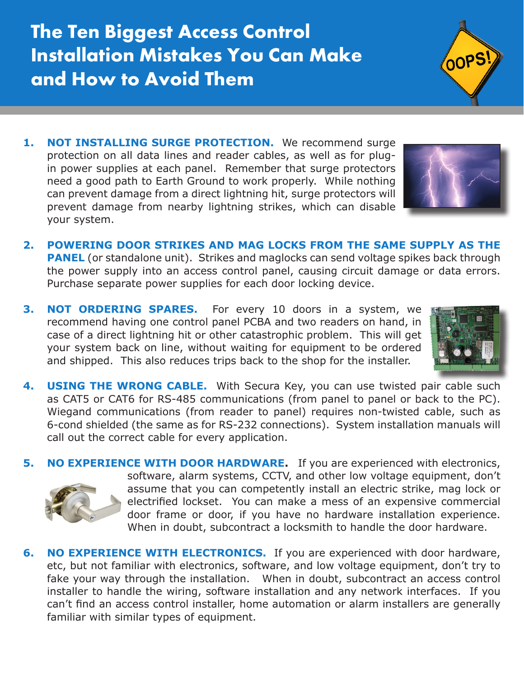**The Ten Biggest Access Control Installation Mistakes You Can Make and How to Avoid Them**

- 1. **NOT INSTALLING SURGE PROTECTION.** We recommend surge protection on all data lines and reader cables, as well as for plugin power supplies at each panel. Remember that surge protectors need a good path to Earth Ground to work properly. While nothing can prevent damage from a direct lightning hit, surge protectors will prevent damage from nearby lightning strikes, which can disable your system.
- **2. POWERING DOOR STRIKES AND MAG LOCKS FROM THE SAME SUPPLY AS THE PANEL** (or standalone unit). Strikes and maglocks can send voltage spikes back through the power supply into an access control panel, causing circuit damage or data errors. Purchase separate power supplies for each door locking device.
- **3. NOT ORDERING SPARES.** For every 10 doors in a system, we recommend having one control panel PCBA and two readers on hand, in case of a direct lightning hit or other catastrophic problem. This will get your system back on line, without waiting for equipment to be ordered and shipped. This also reduces trips back to the shop for the installer.
- **4. USING THE WRONG CABLE.** With Secura Key, you can use twisted pair cable such as CAT5 or CAT6 for RS-485 communications (from panel to panel or back to the PC). Wiegand communications (from reader to panel) requires non-twisted cable, such as 6-cond shielded (the same as for RS-232 connections). System installation manuals will call out the correct cable for every application.
- **5. NO EXPERIENCE WITH DOOR HARDWARE.** If you are experienced with electronics, software, alarm systems, CCTV, and other low voltage equipment, don't assume that you can competently install an electric strike, mag lock or electrified lockset. You can make a mess of an expensive commercial door frame or door, if you have no hardware installation experience. When in doubt, subcontract a locksmith to handle the door hardware.
- **6. NO EXPERIENCE WITH ELECTRONICS.** If you are experienced with door hardware, etc, but not familiar with electronics, software, and low voltage equipment, don't try to fake your way through the installation. When in doubt, subcontract an access control installer to handle the wiring, software installation and any network interfaces. If you can't find an access control installer, home automation or alarm installers are generally familiar with similar types of equipment.